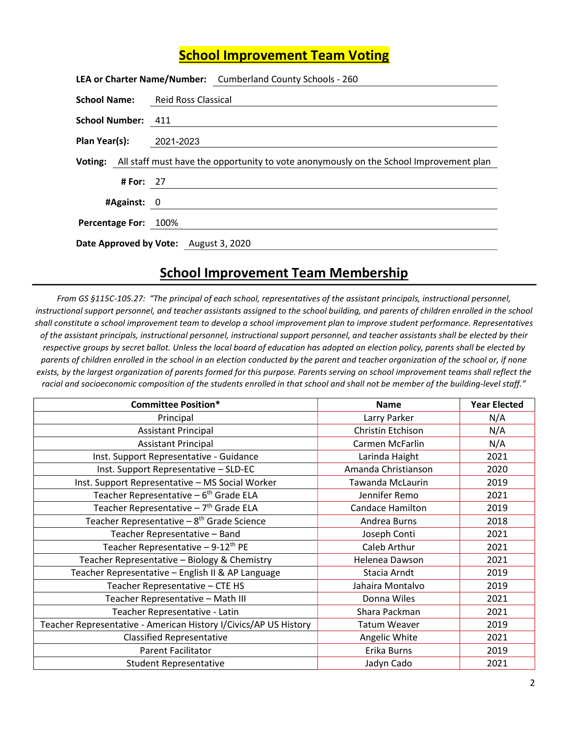## School Improvement Team Voting

|                                |           | LEA or Charter Name/Number: Cumberland County Schools - 260                                    |
|--------------------------------|-----------|------------------------------------------------------------------------------------------------|
|                                |           | <b>School Name:</b> Reid Ross Classical                                                        |
| School Number: 411             |           |                                                                                                |
| <b>Plan Year(s):</b> 2021-2023 |           |                                                                                                |
|                                |           | Voting: All staff must have the opportunity to vote anonymously on the School Improvement plan |
|                                | # For: 27 |                                                                                                |
| #Against: 0                    |           |                                                                                                |
| Percentage For: 100%           |           |                                                                                                |
|                                |           | Date Approved by Vote: August 3, 2020                                                          |

## School Improvement Team Membership

From GS §115C-105.27: "The principal of each school, representatives of the assistant principals, instructional personnel, instructional support personnel, and teacher assistants assigned to the school building, and parents of children enrolled in the school shall constitute a school improvement team to develop a school improvement plan to improve student performance. Representatives of the assistant principals, instructional personnel, instructional support personnel, and teacher assistants shall be elected by their respective groups by secret ballot. Unless the local board of education has adopted an election policy, parents shall be elected by parents of children enrolled in the school in an election conducted by the parent and teacher organization of the school or, if none exists, by the largest organization of parents formed for this purpose. Parents serving on school improvement teams shall reflect the racial and socioeconomic composition of the students enrolled in that school and shall not be member of the building-level staff."

| <b>Committee Position*</b>                                       | <b>Name</b>             | <b>Year Elected</b> |
|------------------------------------------------------------------|-------------------------|---------------------|
| Principal                                                        | Larry Parker            | N/A                 |
| <b>Assistant Principal</b>                                       | Christin Etchison       | N/A                 |
| <b>Assistant Principal</b>                                       | Carmen McFarlin         | N/A                 |
| Inst. Support Representative - Guidance                          | Larinda Haight          | 2021                |
| Inst. Support Representative - SLD-EC                            | Amanda Christianson     | 2020                |
| Inst. Support Representative - MS Social Worker                  | Tawanda McLaurin        | 2019                |
| Teacher Representative - 6 <sup>th</sup> Grade ELA               | Jennifer Remo           | 2021                |
| Teacher Representative - 7 <sup>th</sup> Grade ELA               | <b>Candace Hamilton</b> | 2019                |
| Teacher Representative - 8 <sup>th</sup> Grade Science           | Andrea Burns            | 2018                |
| Teacher Representative - Band                                    | Joseph Conti            | 2021                |
| Teacher Representative $-9-12$ <sup>th</sup> PE                  | Caleb Arthur            | 2021                |
| Teacher Representative - Biology & Chemistry                     | Helenea Dawson          | 2021                |
| Teacher Representative - English II & AP Language                | Stacia Arndt            | 2019                |
| Teacher Representative - CTE HS                                  | Jahaira Montalvo        | 2019                |
| Teacher Representative - Math III                                | Donna Wiles             | 2021                |
| Teacher Representative - Latin                                   | Shara Packman           | 2021                |
| Teacher Representative - American History I/Civics/AP US History | <b>Tatum Weaver</b>     | 2019                |
| <b>Classified Representative</b>                                 | Angelic White           | 2021                |
| <b>Parent Facilitator</b>                                        | Erika Burns             | 2019                |
| <b>Student Representative</b>                                    | Jadyn Cado              | 2021                |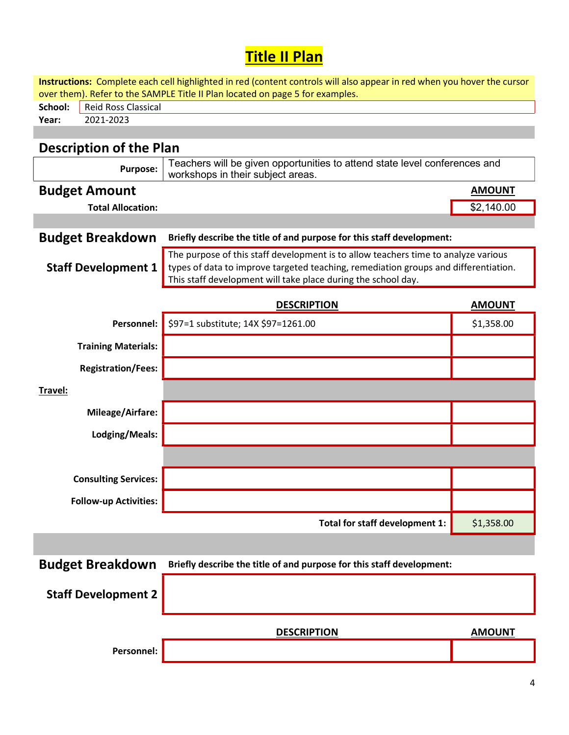## **Title II Plan**

| Instructions: Complete each cell highlighted in red (content controls will also appear in red when you hover the cursor<br>over them). Refer to the SAMPLE Title II Plan located on page 5 for examples. |                                                                                     |               |  |  |  |  |  |
|----------------------------------------------------------------------------------------------------------------------------------------------------------------------------------------------------------|-------------------------------------------------------------------------------------|---------------|--|--|--|--|--|
| <b>Reid Ross Classical</b><br>School:                                                                                                                                                                    |                                                                                     |               |  |  |  |  |  |
| 2021-2023<br>Year:                                                                                                                                                                                       |                                                                                     |               |  |  |  |  |  |
|                                                                                                                                                                                                          |                                                                                     |               |  |  |  |  |  |
| <b>Description of the Plan</b>                                                                                                                                                                           |                                                                                     |               |  |  |  |  |  |
|                                                                                                                                                                                                          | Teachers will be given opportunities to attend state level conferences and          |               |  |  |  |  |  |
| <b>Purpose:</b>                                                                                                                                                                                          | workshops in their subject areas.                                                   |               |  |  |  |  |  |
| <b>Budget Amount</b>                                                                                                                                                                                     |                                                                                     | <b>AMOUNT</b> |  |  |  |  |  |
| <b>Total Allocation:</b>                                                                                                                                                                                 |                                                                                     | \$2,140.00    |  |  |  |  |  |
|                                                                                                                                                                                                          |                                                                                     |               |  |  |  |  |  |
| <b>Budget Breakdown</b>                                                                                                                                                                                  | Briefly describe the title of and purpose for this staff development:               |               |  |  |  |  |  |
|                                                                                                                                                                                                          | The purpose of this staff development is to allow teachers time to analyze various  |               |  |  |  |  |  |
| <b>Staff Development 1</b>                                                                                                                                                                               | types of data to improve targeted teaching, remediation groups and differentiation. |               |  |  |  |  |  |
|                                                                                                                                                                                                          | This staff development will take place during the school day.                       |               |  |  |  |  |  |
|                                                                                                                                                                                                          | <b>DESCRIPTION</b>                                                                  | <b>AMOUNT</b> |  |  |  |  |  |
| Personnel:                                                                                                                                                                                               | \$97=1 substitute; 14X \$97=1261.00                                                 | \$1,358.00    |  |  |  |  |  |
|                                                                                                                                                                                                          |                                                                                     |               |  |  |  |  |  |
| <b>Training Materials:</b>                                                                                                                                                                               |                                                                                     |               |  |  |  |  |  |
| <b>Registration/Fees:</b>                                                                                                                                                                                |                                                                                     |               |  |  |  |  |  |
| Travel:                                                                                                                                                                                                  |                                                                                     |               |  |  |  |  |  |
| Mileage/Airfare:                                                                                                                                                                                         |                                                                                     |               |  |  |  |  |  |
| Lodging/Meals:                                                                                                                                                                                           |                                                                                     |               |  |  |  |  |  |
|                                                                                                                                                                                                          |                                                                                     |               |  |  |  |  |  |
| <b>Consulting Services:</b>                                                                                                                                                                              |                                                                                     |               |  |  |  |  |  |
| <b>Follow-up Activities:</b>                                                                                                                                                                             |                                                                                     |               |  |  |  |  |  |
|                                                                                                                                                                                                          | Total for staff development 1:                                                      | \$1,358.00    |  |  |  |  |  |
|                                                                                                                                                                                                          |                                                                                     |               |  |  |  |  |  |
| <b>Budget Breakdown</b>                                                                                                                                                                                  | Briefly describe the title of and purpose for this staff development:               |               |  |  |  |  |  |
|                                                                                                                                                                                                          |                                                                                     |               |  |  |  |  |  |
| <b>Staff Development 2</b>                                                                                                                                                                               |                                                                                     |               |  |  |  |  |  |
|                                                                                                                                                                                                          |                                                                                     |               |  |  |  |  |  |
|                                                                                                                                                                                                          | <b>DESCRIPTION</b>                                                                  | <b>AMOUNT</b> |  |  |  |  |  |
|                                                                                                                                                                                                          |                                                                                     |               |  |  |  |  |  |
| Personnel:                                                                                                                                                                                               |                                                                                     |               |  |  |  |  |  |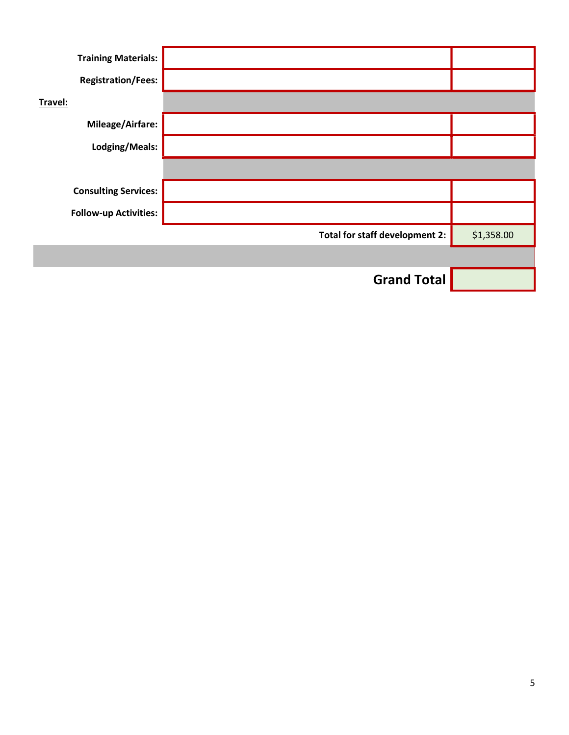| <b>Training Materials:</b>   |                                |            |
|------------------------------|--------------------------------|------------|
| <b>Registration/Fees:</b>    |                                |            |
| Travel:                      |                                |            |
| <b>Mileage/Airfare:</b>      |                                |            |
| Lodging/Meals:               |                                |            |
|                              |                                |            |
| <b>Consulting Services:</b>  |                                |            |
| <b>Follow-up Activities:</b> |                                |            |
|                              | Total for staff development 2: | \$1,358.00 |
|                              |                                |            |
|                              | <b>Grand Total</b>             |            |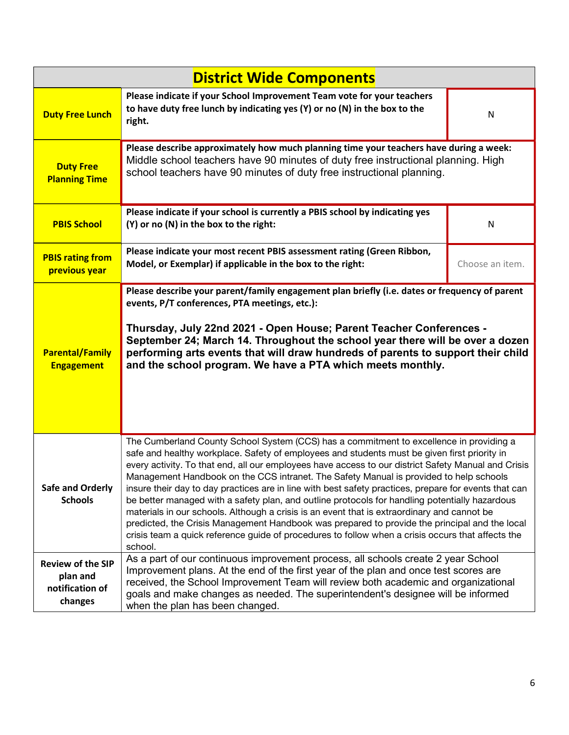| <b>District Wide Components</b>                                    |                                                                                                                                                                                                                                                                                                                                                                                                                                                                                                                                                                                                                                                                                                                                                                                                                                                                                                                     |                 |  |  |  |
|--------------------------------------------------------------------|---------------------------------------------------------------------------------------------------------------------------------------------------------------------------------------------------------------------------------------------------------------------------------------------------------------------------------------------------------------------------------------------------------------------------------------------------------------------------------------------------------------------------------------------------------------------------------------------------------------------------------------------------------------------------------------------------------------------------------------------------------------------------------------------------------------------------------------------------------------------------------------------------------------------|-----------------|--|--|--|
| <b>Duty Free Lunch</b>                                             | Please indicate if your School Improvement Team vote for your teachers<br>to have duty free lunch by indicating yes (Y) or no (N) in the box to the<br>right.                                                                                                                                                                                                                                                                                                                                                                                                                                                                                                                                                                                                                                                                                                                                                       | ${\sf N}$       |  |  |  |
| <b>Duty Free</b><br><b>Planning Time</b>                           | Please describe approximately how much planning time your teachers have during a week:<br>Middle school teachers have 90 minutes of duty free instructional planning. High<br>school teachers have 90 minutes of duty free instructional planning.                                                                                                                                                                                                                                                                                                                                                                                                                                                                                                                                                                                                                                                                  |                 |  |  |  |
| <b>PBIS School</b>                                                 | Please indicate if your school is currently a PBIS school by indicating yes<br>(Y) or no (N) in the box to the right:                                                                                                                                                                                                                                                                                                                                                                                                                                                                                                                                                                                                                                                                                                                                                                                               | N               |  |  |  |
| <b>PBIS rating from</b><br>previous year                           | Please indicate your most recent PBIS assessment rating (Green Ribbon,<br>Model, or Exemplar) if applicable in the box to the right:                                                                                                                                                                                                                                                                                                                                                                                                                                                                                                                                                                                                                                                                                                                                                                                | Choose an item. |  |  |  |
| <b>Parental/Family</b><br><b>Engagement</b>                        | Please describe your parent/family engagement plan briefly (i.e. dates or frequency of parent<br>events, P/T conferences, PTA meetings, etc.):<br>Thursday, July 22nd 2021 - Open House; Parent Teacher Conferences -<br>September 24; March 14. Throughout the school year there will be over a dozen<br>performing arts events that will draw hundreds of parents to support their child<br>and the school program. We have a PTA which meets monthly.                                                                                                                                                                                                                                                                                                                                                                                                                                                            |                 |  |  |  |
| <b>Safe and Orderly</b><br><b>Schools</b>                          | The Cumberland County School System (CCS) has a commitment to excellence in providing a<br>safe and healthy workplace. Safety of employees and students must be given first priority in<br>every activity. To that end, all our employees have access to our district Safety Manual and Crisis<br>Management Handbook on the CCS intranet. The Safety Manual is provided to help schools<br>insure their day to day practices are in line with best safety practices, prepare for events that can<br>be better managed with a safety plan, and outline protocols for handling potentially hazardous<br>materials in our schools. Although a crisis is an event that is extraordinary and cannot be<br>predicted, the Crisis Management Handbook was prepared to provide the principal and the local<br>crisis team a quick reference guide of procedures to follow when a crisis occurs that affects the<br>school. |                 |  |  |  |
| <b>Review of the SIP</b><br>plan and<br>notification of<br>changes | As a part of our continuous improvement process, all schools create 2 year School<br>Improvement plans. At the end of the first year of the plan and once test scores are<br>received, the School Improvement Team will review both academic and organizational<br>goals and make changes as needed. The superintendent's designee will be informed<br>when the plan has been changed.                                                                                                                                                                                                                                                                                                                                                                                                                                                                                                                              |                 |  |  |  |